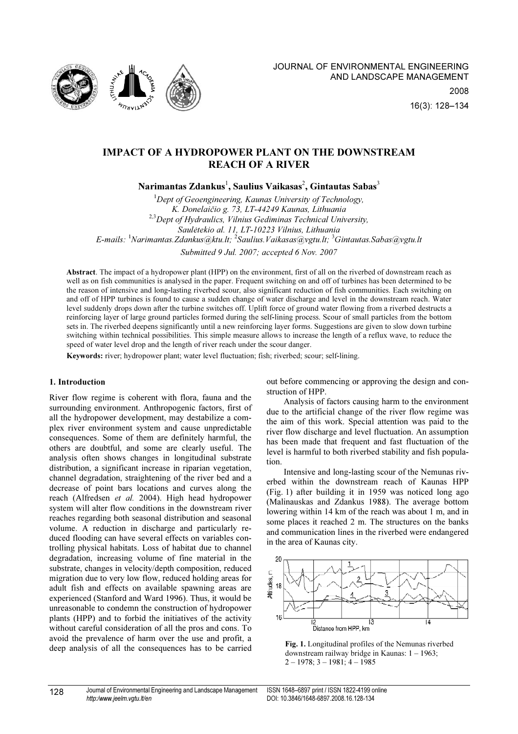

# IMPACT OF A HYDROPOWER PLANT ON THE DOWNSTREAM REACH OF A RIVER

Narimantas Zdankus $^{\rm l}$ , Saulius Vaikasas $^{\rm 2}$ , Gintautas Sabas $^{\rm 3}$ 

 $1$ Dept of Geoengineering, Kaunas University of Technology, K. Donelaičio g. 73, LT-44249 Kaunas, Lithuania <sup>2,3</sup>Dept of Hydraulics, Vilnius Gediminas Technical University, Saulėtekio al. 11, LT-10223 Vilnius, Lithuania E-mails:  $^1$ Narimantas.Zdankus@ktu.lt;  $^2$ Saulius.Vaikasas@vgtu.lt;  $^3$ Gintautas.Sabas@vgtu.lt Submitted 9 Jul. 2007; accepted 6 Nov. 2007

Abstract. The impact of a hydropower plant (HPP) on the environment, first of all on the riverbed of downstream reach as well as on fish communities is analysed in the paper. Frequent switching on and off of turbines has been determined to be the reason of intensive and long-lasting riverbed scour, also significant reduction of fish communities. Each switching on and off of HPP turbines is found to cause a sudden change of water discharge and level in the downstream reach. Water level suddenly drops down after the turbine switches off. Uplift force of ground water flowing from a riverbed destructs a reinforcing layer of large ground particles formed during the self-lining process. Scour of small particles from the bottom sets in. The riverbed deepens significantly until a new reinforcing layer forms. Suggestions are given to slow down turbine switching within technical possibilities. This simple measure allows to increase the length of a reflux wave, to reduce the speed of water level drop and the length of river reach under the scour danger.

Keywords: river; hydropower plant; water level fluctuation; fish; riverbed; scour; self-lining.

# 1. Introduction

River flow regime is coherent with flora, fauna and the surrounding environment. Anthropogenic factors, first of all the hydropower development, may destabilize a complex river environment system and cause unpredictable consequences. Some of them are definitely harmful, the others are doubtful, and some are clearly useful. The analysis often shows changes in longitudinal substrate distribution, a significant increase in riparian vegetation, channel degradation, straightening of the river bed and a decrease of point bars locations and curves along the reach (Alfredsen et al. 2004). High head hydropower system will alter flow conditions in the downstream river reaches regarding both seasonal distribution and seasonal volume. A reduction in discharge and particularly reduced flooding can have several effects on variables controlling physical habitats. Loss of habitat due to channel degradation, increasing volume of fine material in the substrate, changes in velocity/depth composition, reduced migration due to very low flow, reduced holding areas for adult fish and effects on available spawning areas are experienced (Stanford and Ward 1996). Thus, it would be unreasonable to condemn the construction of hydropower plants (HPP) and to forbid the initiatives of the activity without careful consideration of all the pros and cons. To avoid the prevalence of harm over the use and profit, a deep analysis of all the consequences has to be carried out before commencing or approving the design and construction of HPP.

Analysis of factors causing harm to the environment due to the artificial change of the river flow regime was the aim of this work. Special attention was paid to the river flow discharge and level fluctuation. An assumption has been made that frequent and fast fluctuation of the level is harmful to both riverbed stability and fish population.

Intensive and long-lasting scour of the Nemunas riverbed within the downstream reach of Kaunas HPP (Fig. 1) after building it in 1959 was noticed long ago (Malinauskas and Zdankus 1988). The average bottom lowering within 14 km of the reach was about 1 m, and in some places it reached 2 m. The structures on the banks and communication lines in the riverbed were endangered in the area of Kaunas city.



Fig. 1. Longitudinal profiles of the Nemunas riverbed downstream railway bridge in Kaunas: 1 – 1963;  $2 - 1978$ ;  $3 - 1981$ ;  $4 - 1985$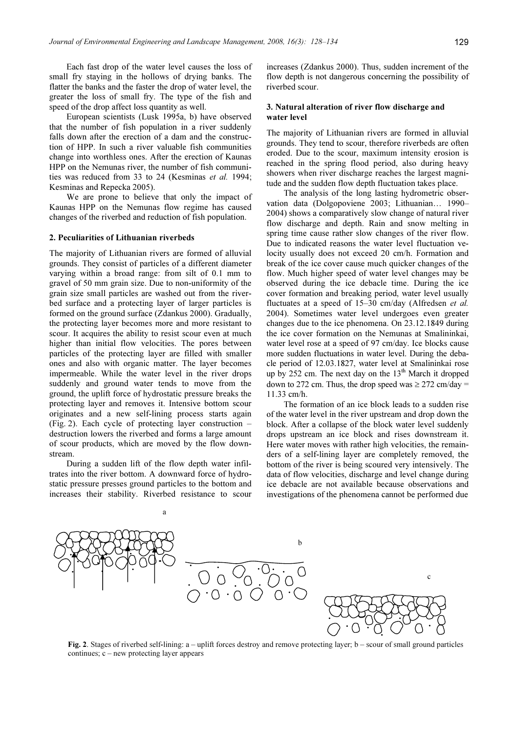Each fast drop of the water level causes the loss of small fry staying in the hollows of drying banks. The flatter the banks and the faster the drop of water level, the greater the loss of small fry. The type of the fish and speed of the drop affect loss quantity as well.

European scientists (Lusk 1995a, b) have observed that the number of fish population in a river suddenly falls down after the erection of a dam and the construction of HPP. In such a river valuable fish communities change into worthless ones. After the erection of Kaunas HPP on the Nemunas river, the number of fish communities was reduced from 33 to 24 (Kesminas et al. 1994; Kesminas and Repecka 2005).

We are prone to believe that only the impact of Kaunas HPP on the Nemunas flow regime has caused changes of the riverbed and reduction of fish population.

## 2. Peculiarities of Lithuanian riverbeds

The majority of Lithuanian rivers are formed of alluvial grounds. They consist of particles of a different diameter varying within a broad range: from silt of 0.1 mm to gravel of 50 mm grain size. Due to non-uniformity of the grain size small particles are washed out from the riverbed surface and a protecting layer of larger particles is formed on the ground surface (Zdankus 2000). Gradually, the protecting layer becomes more and more resistant to scour. It acquires the ability to resist scour even at much higher than initial flow velocities. The pores between particles of the protecting layer are filled with smaller ones and also with organic matter. The layer becomes impermeable. While the water level in the river drops suddenly and ground water tends to move from the ground, the uplift force of hydrostatic pressure breaks the protecting layer and removes it. Intensive bottom scour originates and a new self-lining process starts again (Fig. 2). Each cycle of protecting layer construction – destruction lowers the riverbed and forms a large amount of scour products, which are moved by the flow downstream.

During a sudden lift of the flow depth water infiltrates into the river bottom. A downward force of hydrostatic pressure presses ground particles to the bottom and increases their stability. Riverbed resistance to scour

a

increases (Zdankus 2000). Thus, sudden increment of the flow depth is not dangerous concerning the possibility of riverbed scour.

# 3. Natural alteration of river flow discharge and water level

The majority of Lithuanian rivers are formed in alluvial grounds. They tend to scour, therefore riverbeds are often eroded. Due to the scour, maximum intensity erosion is reached in the spring flood period, also during heavy showers when river discharge reaches the largest magnitude and the sudden flow depth fluctuation takes place.

The analysis of the long lasting hydrometric observation data (Dolgopoviene 2003; Lithuanian… 1990– 2004) shows a comparatively slow change of natural river flow discharge and depth. Rain and snow melting in spring time cause rather slow changes of the river flow. Due to indicated reasons the water level fluctuation velocity usually does not exceed 20 cm/h. Formation and break of the ice cover cause much quicker changes of the flow. Much higher speed of water level changes may be observed during the ice debacle time. During the ice cover formation and breaking period, water level usually fluctuates at a speed of 15–30 cm/day (Alfredsen et al. 2004). Sometimes water level undergoes even greater changes due to the ice phenomena. On 23.12.1849 during the ice cover formation on the Nemunas at Smalininkai, water level rose at a speed of 97 cm/day. Ice blocks cause more sudden fluctuations in water level. During the debacle period of 12.03.1827, water level at Smalininkai rose up by 252 cm. The next day on the  $13<sup>th</sup>$  March it dropped down to 272 cm. Thus, the drop speed was  $\geq$  272 cm/day = 11.33 cm/h.

The formation of an ice block leads to a sudden rise of the water level in the river upstream and drop down the block. After a collapse of the block water level suddenly drops upstream an ice block and rises downstream it. Here water moves with rather high velocities, the remainders of a self-lining layer are completely removed, the bottom of the river is being scoured very intensively. The data of flow velocities, discharge and level change during ice debacle are not available because observations and investigations of the phenomena cannot be performed due



Fig. 2. Stages of riverbed self-lining: a – uplift forces destroy and remove protecting layer; b – scour of small ground particles continues; c – new protecting layer appears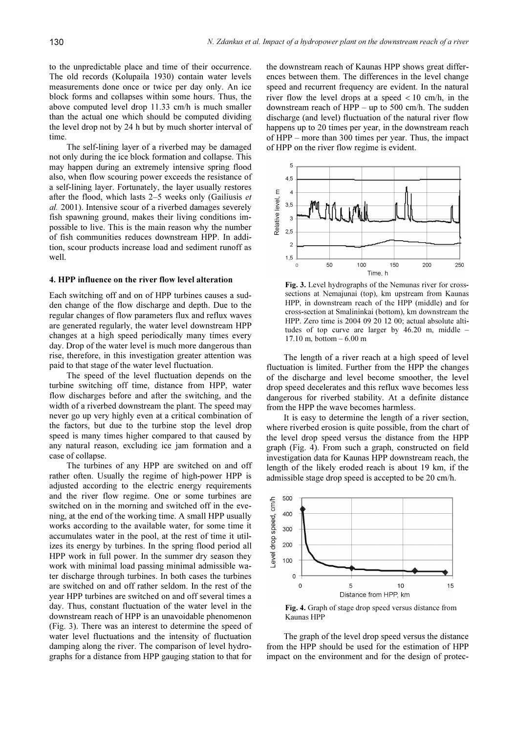to the unpredictable place and time of their occurrence. The old records (Kolupaila 1930) contain water levels measurements done once or twice per day only. An ice block forms and collapses within some hours. Thus, the above computed level drop 11.33 cm/h is much smaller than the actual one which should be computed dividing the level drop not by 24 h but by much shorter interval of time.

The self-lining layer of a riverbed may be damaged not only during the ice block formation and collapse. This may happen during an extremely intensive spring flood also, when flow scouring power exceeds the resistance of a self-lining layer. Fortunately, the layer usually restores after the flood, which lasts  $2-5$  weeks only (Gailiusis et al. 2001). Intensive scour of a riverbed damages severely fish spawning ground, makes their living conditions impossible to live. This is the main reason why the number of fish communities reduces downstream HPP. In addition, scour products increase load and sediment runoff as well.

#### 4. HPP influence on the river flow level alteration

Each switching off and on of HPP turbines causes a sudden change of the flow discharge and depth. Due to the regular changes of flow parameters flux and reflux waves are generated regularly, the water level downstream HPP changes at a high speed periodically many times every day. Drop of the water level is much more dangerous than rise, therefore, in this investigation greater attention was paid to that stage of the water level fluctuation.

The speed of the level fluctuation depends on the turbine switching off time, distance from HPP, water flow discharges before and after the switching, and the width of a riverbed downstream the plant. The speed may never go up very highly even at a critical combination of the factors, but due to the turbine stop the level drop speed is many times higher compared to that caused by any natural reason, excluding ice jam formation and a case of collapse.

The turbines of any HPP are switched on and off rather often. Usually the regime of high-power HPP is adjusted according to the electric energy requirements and the river flow regime. One or some turbines are switched on in the morning and switched off in the evening, at the end of the working time. A small HPP usually works according to the available water, for some time it accumulates water in the pool, at the rest of time it utilizes its energy by turbines. In the spring flood period all HPP work in full power. In the summer dry season they work with minimal load passing minimal admissible water discharge through turbines. In both cases the turbines are switched on and off rather seldom. In the rest of the year HPP turbines are switched on and off several times a day. Thus, constant fluctuation of the water level in the downstream reach of HPP is an unavoidable phenomenon (Fig. 3). There was an interest to determine the speed of water level fluctuations and the intensity of fluctuation damping along the river. The comparison of level hydrographs for a distance from HPP gauging station to that for

the downstream reach of Kaunas HPP shows great differences between them. The differences in the level change speed and recurrent frequency are evident. In the natural river flow the level drops at a speed  $< 10$  cm/h, in the downstream reach of HPP – up to 500 cm/h. The sudden discharge (and level) fluctuation of the natural river flow happens up to 20 times per year, in the downstream reach of HPP – more than 300 times per year. Thus, the impact of HPP on the river flow regime is evident.



Fig. 3. Level hydrographs of the Nemunas river for crosssections at Nemajunai (top), km upstream from Kaunas HPP, in downstream reach of the HPP (middle) and for cross-section at Smalininkai (bottom), km downstream the HPP. Zero time is 2004 09 20 12 00; actual absolute altitudes of top curve are larger by  $46.20$  m, middle – 17.10 m, bottom – 6.00 m

The length of a river reach at a high speed of level fluctuation is limited. Further from the HPP the changes of the discharge and level become smoother, the level drop speed decelerates and this reflux wave becomes less dangerous for riverbed stability. At a definite distance from the HPP the wave becomes harmless.

It is easy to determine the length of a river section, where riverbed erosion is quite possible, from the chart of the level drop speed versus the distance from the HPP graph (Fig. 4). From such a graph, constructed on field investigation data for Kaunas HPP downstream reach, the length of the likely eroded reach is about 19 km, if the admissible stage drop speed is accepted to be 20 cm/h.



Fig. 4. Graph of stage drop speed versus distance from Kaunas HPP

The graph of the level drop speed versus the distance from the HPP should be used for the estimation of HPP impact on the environment and for the design of protec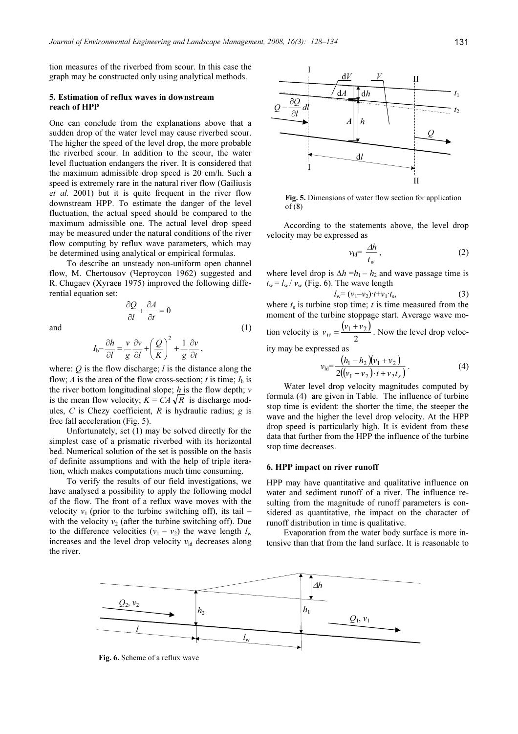tion measures of the riverbed from scour. In this case the graph may be constructed only using analytical methods.

## 5. Estimation of reflux waves in downstream reach of HPP

One can conclude from the explanations above that a sudden drop of the water level may cause riverbed scour. The higher the speed of the level drop, the more probable the riverbed scour. In addition to the scour, the water level fluctuation endangers the river. It is considered that the maximum admissible drop speed is 20 cm/h. Such a speed is extremely rare in the natural river flow (Gailiusis et al. 2001) but it is quite frequent in the river flow downstream HPP. To estimate the danger of the level fluctuation, the actual speed should be compared to the maximum admissible one. The actual level drop speed may be measured under the natural conditions of the river flow computing by reflux wave parameters, which may be determined using analytical or empirical formulas.

To describe an unsteady non-uniform open channel flow, M. Chertousov (Чертоусов 1962) suggested and R. Chugaev (Хугаев 1975) improved the following differential equation set:

and 
$$
\frac{\partial Q}{\partial l} + \frac{\partial A}{\partial t} = 0
$$

$$
I_b - \frac{\partial h}{\partial l} = \frac{v}{g} \frac{\partial v}{\partial l} + \left(\frac{Q}{K}\right)^2 + \frac{1}{g} \frac{\partial v}{\partial t},
$$
(1)

 $K$ ) g

J

where:  $Q$  is the flow discharge;  $l$  is the distance along the flow; A is the area of the flow cross-section; t is time;  $I<sub>b</sub>$  is the river bottom longitudinal slope;  $h$  is the flow depth;  $v$ is the mean flow velocity;  $K = CA\sqrt{R}$  is discharge modules, C is Chezy coefficient, R is hydraulic radius;  $g$  is free fall acceleration (Fig. 5).

l

l

g

l

Unfortunately, set (1) may be solved directly for the simplest case of a prismatic riverbed with its horizontal bed. Numerical solution of the set is possible on the basis of definite assumptions and with the help of triple iteration, which makes computations much time consuming.

To verify the results of our field investigations, we have analysed a possibility to apply the following model of the flow. The front of a reflux wave moves with the velocity  $v_1$  (prior to the turbine switching off), its tail – with the velocity  $v_2$  (after the turbine switching off). Due to the difference velocities  $(v_1 - v_2)$  the wave length  $l_w$ increases and the level drop velocity  $v_{\rm ld}$  decreases along the river.



Fig. 5. Dimensions of water flow section for application of (8)

According to the statements above, the level drop velocity may be expressed as

$$
v_{\rm ld} = \frac{\Delta h}{t_w},\tag{2}
$$

where level drop is  $\Delta h = h_1 - h_2$  and wave passage time is  $t_w = l_w / v_w$  (Fig. 6). The wave length

$$
l_{w} = (v_1 - v_2) \cdot t + v_1 \cdot t_s, \tag{3}
$$

where  $t_s$  is turbine stop time; t is time measured from the moment of the turbine stoppage start. Average wave motion velocity is  $v_w = \frac{(v_1 + v_2)}{2}$  $v_w = \frac{(v_1 + v_2)}{2}$ . Now the level drop veloc-

ity may be expressed as

$$
v_{\rm Id} = \frac{(h_1 - h_2)(v_1 + v_2)}{2((v_1 - v_2) \cdot t + v_2 t_s)}.
$$
 (4)

Water level drop velocity magnitudes computed by formula (4) are given in Table. The influence of turbine stop time is evident: the shorter the time, the steeper the wave and the higher the level drop velocity. At the HPP drop speed is particularly high. It is evident from these data that further from the HPP the influence of the turbine stop time decreases.

## 6. HPP impact on river runoff

HPP may have quantitative and qualitative influence on water and sediment runoff of a river. The influence resulting from the magnitude of runoff parameters is considered as quantitative, the impact on the character of runoff distribution in time is qualitative.

Evaporation from the water body surface is more intensive than that from the land surface. It is reasonable to



Fig. 6. Scheme of a reflux wave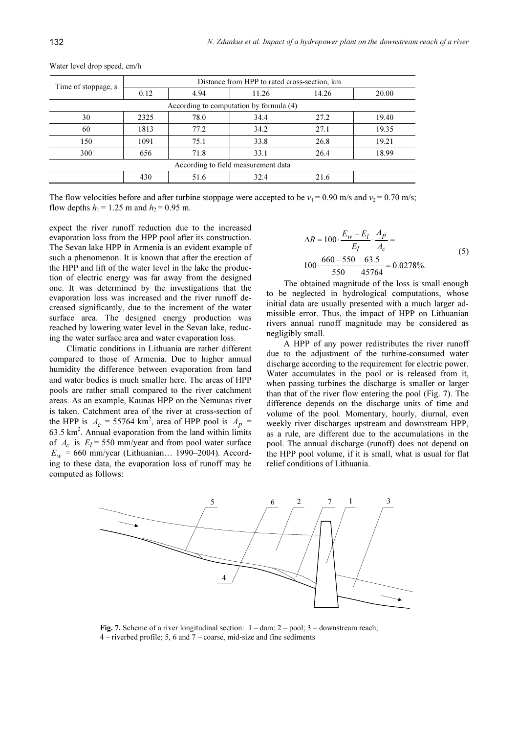| Time of stoppage, s                     | Distance from HPP to rated cross-section, km |      |       |       |       |  |  |  |
|-----------------------------------------|----------------------------------------------|------|-------|-------|-------|--|--|--|
|                                         | 0.12                                         | 4.94 | 11.26 | 14.26 | 20.00 |  |  |  |
| According to computation by formula (4) |                                              |      |       |       |       |  |  |  |
| 30                                      | 2325                                         | 78.0 | 34.4  | 27.2  | 19.40 |  |  |  |
| 60                                      | 1813                                         | 77.2 | 34.2  | 27.1  | 19.35 |  |  |  |
| 150                                     | 1091                                         | 75.1 | 33.8  | 26.8  | 19.21 |  |  |  |
| 300                                     | 656                                          | 71.8 | 33.1  | 26.4  | 18.99 |  |  |  |
| According to field measurement data     |                                              |      |       |       |       |  |  |  |
|                                         | 430                                          | 51.6 | 32.4  | 21.6  |       |  |  |  |

Water level drop speed, cm/h

The flow velocities before and after turbine stoppage were accepted to be  $v_1 = 0.90$  m/s and  $v_2 = 0.70$  m/s; flow depths  $h_1 = 1.25$  m and  $h_2 = 0.95$  m.

expect the river runoff reduction due to the increased evaporation loss from the HPP pool after its construction. The Sevan lake HPP in Armenia is an evident example of such a phenomenon. It is known that after the erection of the HPP and lift of the water level in the lake the production of electric energy was far away from the designed one. It was determined by the investigations that the evaporation loss was increased and the river runoff decreased significantly, due to the increment of the water surface area. The designed energy production was reached by lowering water level in the Sevan lake, reducing the water surface area and water evaporation loss.

Climatic conditions in Lithuania are rather different compared to those of Armenia. Due to higher annual humidity the difference between evaporation from land and water bodies is much smaller here. The areas of HPP pools are rather small compared to the river catchment areas. As an example, Kaunas HPP on the Nemunas river is taken. Catchment area of the river at cross-section of the HPP is  $A_c = 55764 \text{ km}^2$ , area of HPP pool is  $A_p =$ 63.5  $km<sup>2</sup>$ . Annual evaporation from the land within limits of  $A_c$  is  $E_l$  = 550 mm/year and from pool water surface  $E_w = 660$  mm/year (Lithuanian... 1990–2004). According to these data, the evaporation loss of runoff may be computed as follows:

$$
\Delta R = 100 \cdot \frac{E_w - E_l}{E_l} \cdot \frac{A_p}{A_c} =
$$
  
100 \cdot \frac{660 - 550}{550} \cdot \frac{63.5}{45764} = 0.0278%. (5)

The obtained magnitude of the loss is small enough to be neglected in hydrological computations, whose initial data are usually presented with a much larger admissible error. Thus, the impact of HPP on Lithuanian rivers annual runoff magnitude may be considered as negligibly small.

A HPP of any power redistributes the river runoff due to the adjustment of the turbine-consumed water discharge according to the requirement for electric power. Water accumulates in the pool or is released from it, when passing turbines the discharge is smaller or larger than that of the river flow entering the pool (Fig. 7). The difference depends on the discharge units of time and volume of the pool. Momentary, hourly, diurnal, even weekly river discharges upstream and downstream HPP, as a rule, are different due to the accumulations in the pool. The annual discharge (runoff) does not depend on the HPP pool volume, if it is small, what is usual for flat relief conditions of Lithuania.



Fig. 7. Scheme of a river longitudinal section:  $1 - \text{dam}$ ;  $2 - \text{pool}$ ;  $3 - \text{downstream reach}$ ; 4 – riverbed profile; 5, 6 and 7 – coarse, mid-size and fine sediments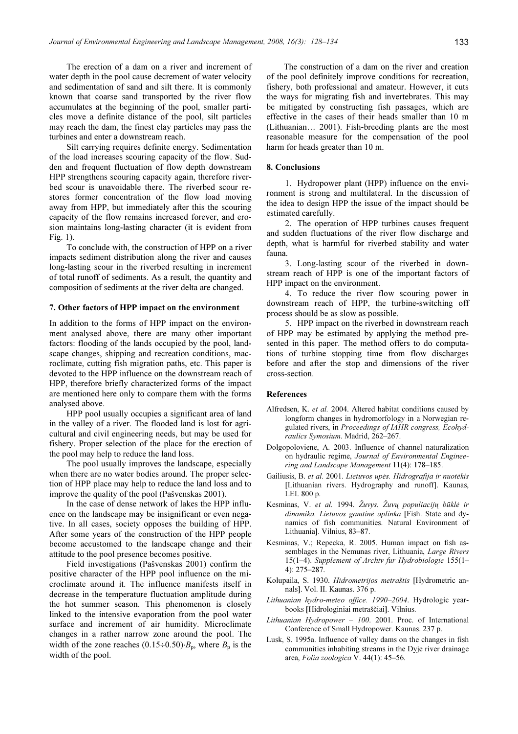The erection of a dam on a river and increment of water depth in the pool cause decrement of water velocity and sedimentation of sand and silt there. It is commonly known that coarse sand transported by the river flow accumulates at the beginning of the pool, smaller particles move a definite distance of the pool, silt particles may reach the dam, the finest clay particles may pass the turbines and enter a downstream reach.

Silt carrying requires definite energy. Sedimentation of the load increases scouring capacity of the flow. Sudden and frequent fluctuation of flow depth downstream HPP strengthens scouring capacity again, therefore riverbed scour is unavoidable there. The riverbed scour restores former concentration of the flow load moving away from HPP, but immediately after this the scouring capacity of the flow remains increased forever, and erosion maintains long-lasting character (it is evident from Fig. 1).

To conclude with, the construction of HPP on a river impacts sediment distribution along the river and causes long-lasting scour in the riverbed resulting in increment of total runoff of sediments. As a result, the quantity and composition of sediments at the river delta are changed.

#### 7. Other factors of HPP impact on the environment

In addition to the forms of HPP impact on the environment analysed above, there are many other important factors: flooding of the lands occupied by the pool, landscape changes, shipping and recreation conditions, macroclimate, cutting fish migration paths, etc. This paper is devoted to the HPP influence on the downstream reach of HPP, therefore briefly characterized forms of the impact are mentioned here only to compare them with the forms analysed above.

HPP pool usually occupies a significant area of land in the valley of a river. The flooded land is lost for agricultural and civil engineering needs, but may be used for fishery. Proper selection of the place for the erection of the pool may help to reduce the land loss.

The pool usually improves the landscape, especially when there are no water bodies around. The proper selection of HPP place may help to reduce the land loss and to improve the quality of the pool (Pašvenskas 2001).

In the case of dense network of lakes the HPP influence on the landscape may be insignificant or even negative. In all cases, society opposes the building of HPP. After some years of the construction of the HPP people become accustomed to the landscape change and their attitude to the pool presence becomes positive.

Field investigations (Pašvenskas 2001) confirm the positive character of the HPP pool influence on the microclimate around it. The influence manifests itself in decrease in the temperature fluctuation amplitude during the hot summer season. This phenomenon is closely linked to the intensive evaporation from the pool water surface and increment of air humidity. Microclimate changes in a rather narrow zone around the pool. The width of the zone reaches  $(0.15 \div 0.50) \cdot B_n$ , where  $B_n$  is the width of the pool.

The construction of a dam on the river and creation of the pool definitely improve conditions for recreation, fishery, both professional and amateur. However, it cuts the ways for migrating fish and invertebrates. This may be mitigated by constructing fish passages, which are effective in the cases of their heads smaller than 10 m (Lithuanian… 2001). Fish-breeding plants are the most reasonable measure for the compensation of the pool harm for heads greater than 10 m.

## 8. Conclusions

1. Hydropower plant (HPP) influence on the environment is strong and multilateral. In the discussion of the idea to design HPP the issue of the impact should be estimated carefully.

2. The operation of HPP turbines causes frequent and sudden fluctuations of the river flow discharge and depth, what is harmful for riverbed stability and water fauna.

3. Long-lasting scour of the riverbed in downstream reach of HPP is one of the important factors of HPP impact on the environment.

4. To reduce the river flow scouring power in downstream reach of HPP, the turbine-switching off process should be as slow as possible.

5. HPP impact on the riverbed in downstream reach of HPP may be estimated by applying the method presented in this paper. The method offers to do computations of turbine stopping time from flow discharges before and after the stop and dimensions of the river cross-section.

## References

- Alfredsen, K. et al. 2004. Altered habitat conditions caused by longform changes in hydromorfology in a Norwegian regulated rivers, in Proceedings of IAHR congress, Ecohydraulics Symosium. Madrid, 262–267.
- Dolgopoloviene, A. 2003. Influence of channel naturalization on hydraulic regime, Journal of Environmental Engineering and Landscape Management 11(4): 178–185.
- Gailiusis, B. et al. 2001. Lietuvos upės. Hidrografija ir nuotėkis [Lithuanian rivers. Hydrography and runoff]. Kaunas, LEI. 800 p.
- Kesminas, V. et al. 1994. Žuvys. Žuvų populiacijų būklė ir dinamika. Lietuvos gamtinė aplinka [Fish. State and dynamics of fish communities. Natural Environment of Lithuania]. Vilnius, 83–87.
- Kesminas, V.; Repecka, R. 2005. Human impact on fish assemblages in the Nemunas river, Lithuania, Large Rivers 15(1–4). Supplement of Archiv fur Hydrobiologie 155(1– 4): 275–287.
- Kolupaila, S. 1930. Hidrometrijos metraštis [Hydrometric annals]. Vol. II. Kaunas. 376 p.
- Lithuanian hydro-meteo office. 1990–2004. Hydrologic yearbooks [Hidrologiniai metraščiai]. Vilnius.
- Lithuanian Hydropower 100. 2001. Proc. of International Conference of Small Hydropower. Kaunas. 237 p.
- Lusk, S. 1995a. Influence of valley dams on the changes in fish communities inhabiting streams in the Dyje river drainage area, Folia zoologica V. 44(1): 45–56.